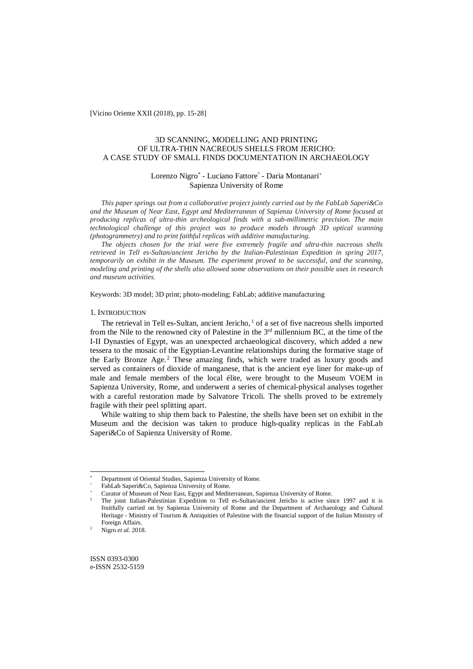[Vicino Oriente XXII (2018), pp. 15-28]

# 3D SCANNING, MODELLING AND PRINTING OF ULTRA-THIN NACREOUS SHELLS FROM JERICHO: A CASE STUDY OF SMALL FINDS DOCUMENTATION IN ARCHAEOLOGY

# Lorenzo Nigro<sup>\*</sup> - Luciano Fattore<sup>°</sup> - Daria Montanari<sup>+</sup> Sapienza University of Rome

*This paper springs out from a collaborative project jointly carried out by the FabLab Saperi&Co and the Museum of Near East, Egypt and Mediterranean of Sapienza University of Rome focused at producing replicas of ultra-thin archeological finds with a sub-millimetric precision. The main technological challenge of this project was to produce models through 3D optical scanning (photogrammetry) and to print faithful replicas with additive manufacturing.* 

*The objects chosen for the trial were five extremely fragile and ultra-thin nacreous shells retrieved in Tell es-Sultan/ancient Jericho by the Italian-Palestinian Expedition in spring 2017, temporarily on exhibit in the Museum. The experiment proved to be successful, and the scanning, modeling and printing of the shells also allowed some observations on their possible uses in research and museum activities.*

Keywords: 3D model; 3D print; photo-modeling; FabLab; additive manufacturing

#### 1. INTRODUCTION

The retrieval in Tell es-Sultan, ancient Jericho, $<sup>1</sup>$  of a set of five nacreous shells imported</sup> from the Nile to the renowned city of Palestine in the  $3<sup>rd</sup>$  millennium BC, at the time of the I-II Dynasties of Egypt, was an unexpected archaeological discovery, which added a new tessera to the mosaic of the Egyptian-Levantine relationships during the formative stage of the Early Bronze Age.<sup>2</sup> These amazing finds, which were traded as luxury goods and served as containers of dioxide of manganese, that is the ancient eye liner for make-up of male and female members of the local élite, were brought to the Museum VOEM in Sapienza University, Rome, and underwent a series of chemical-physical analyses together with a careful restoration made by Salvatore Tricoli. The shells proved to be extremely fragile with their peel splitting apart.

While waiting to ship them back to Palestine, the shells have been set on exhibit in the Museum and the decision was taken to produce high-quality replicas in the FabLab Saperi&Co of Sapienza University of Rome.

 $\overline{a}$ 

ISSN 0393-0300 e-ISSN 2532-5159

Department of Oriental Studies, Sapienza University of Rome.

FabLab Saperi&Co, Sapienza University of Rome.

Curator of Museum of Near East, Egypt and Mediterranean, Sapienza University of Rome.

<sup>1</sup> The joint Italian-Palestinian Expedition to Tell es-Sultan/ancient Jericho is active since 1997 and it is fruitfully carried on by Sapienza University of Rome and the Department of Archaeology and Cultural Heritage - Ministry of Tourism & Antiquities of Palestine with the financial support of the Italian Ministry of Foreign Affairs.

<sup>2</sup> Nigro *et al*. 2018.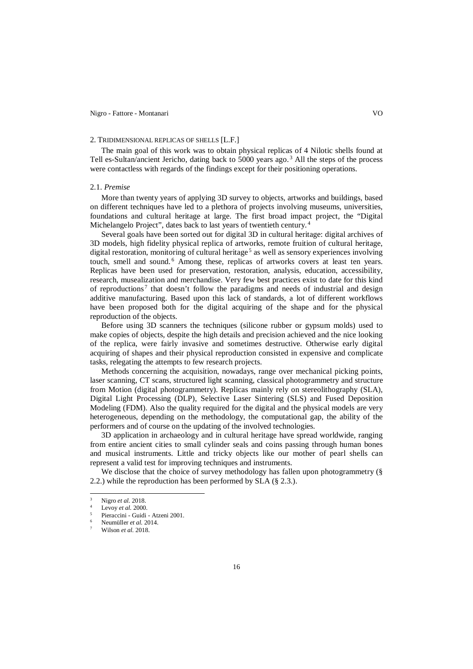#### 2. TRIDIMENSIONAL REPLICAS OF SHELLS [L.F.]

The main goal of this work was to obtain physical replicas of 4 Nilotic shells found at Tell es-Sultan/ancient Jericho, dating back to 5000 years ago.<sup>3</sup> All the steps of the process were contactless with regards of the findings except for their positioning operations.

#### 2.1. *Premise*

More than twenty years of applying 3D survey to objects, artworks and buildings, based on different techniques have led to a plethora of projects involving museums, universities, foundations and cultural heritage at large. The first broad impact project, the "Digital Michelangelo Project", dates back to last years of twentieth century. 4

Several goals have been sorted out for digital 3D in cultural heritage: digital archives of 3D models, high fidelity physical replica of artworks, remote fruition of cultural heritage, digital restoration, monitoring of cultural heritage<sup>5</sup> as well as sensory experiences involving touch, smell and sound.<sup>6</sup> Among these, replicas of artworks covers at least ten years. Replicas have been used for preservation, restoration, analysis, education, accessibility, research, musealization and merchandise. Very few best practices exist to date for this kind of reproductions<sup>7</sup> that doesn't follow the paradigms and needs of industrial and design additive manufacturing. Based upon this lack of standards, a lot of different workflows have been proposed both for the digital acquiring of the shape and for the physical reproduction of the objects.

Before using 3D scanners the techniques (silicone rubber or gypsum molds) used to make copies of objects, despite the high details and precision achieved and the nice looking of the replica, were fairly invasive and sometimes destructive. Otherwise early digital acquiring of shapes and their physical reproduction consisted in expensive and complicate tasks, relegating the attempts to few research projects.

Methods concerning the acquisition, nowadays, range over mechanical picking points, laser scanning, CT scans, structured light scanning, classical photogrammetry and structure from Motion (digital photogrammetry). Replicas mainly rely on stereolithography (SLA), Digital Light Processing (DLP), Selective Laser Sintering (SLS) and Fused Deposition Modeling (FDM). Also the quality required for the digital and the physical models are very heterogeneous, depending on the methodology, the computational gap, the ability of the performers and of course on the updating of the involved technologies.

3D application in archaeology and in cultural heritage have spread worldwide, ranging from entire ancient cities to small cylinder seals and coins passing through human bones and musical instruments. Little and tricky objects like our mother of pearl shells can represent a valid test for improving techniques and instruments.

We disclose that the choice of survey methodology has fallen upon photogrammetry (§ 2.2.) while the reproduction has been performed by SLA (§ 2.3.).

 $\overline{a}$ 

<sup>3</sup> Nigro *et al.* 2018.

 $\frac{4}{5}$  Levoy *et al.* 2000.

<sup>5</sup> Pieraccini - Guidi - Atzeni 2001.

<sup>6</sup> Neumüller *et al.* 2014.

<sup>7</sup> Wilson *et al.* 2018.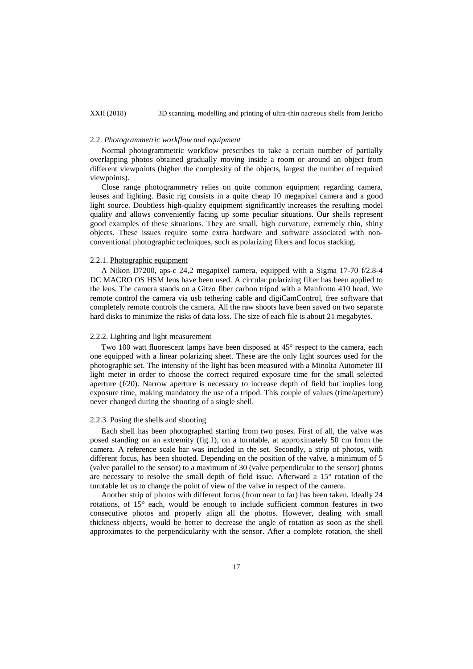## 2.2. *Photogrammetric workflow and equipment*

Normal photogrammetric workflow prescribes to take a certain number of partially overlapping photos obtained gradually moving inside a room or around an object from different viewpoints (higher the complexity of the objects, largest the number of required viewpoints).

Close range photogrammetry relies on quite common equipment regarding camera, lenses and lighting. Basic rig consists in a quite cheap 10 megapixel camera and a good light source. Doubtless high-quality equipment significantly increases the resulting model quality and allows conveniently facing up some peculiar situations. Our shells represent good examples of these situations. They are small, high curvature, extremely thin, shiny objects. These issues require some extra hardware and software associated with nonconventional photographic techniques, such as polarizing filters and focus stacking.

#### 2.2.1. Photographic equipment

A Nikon D7200, aps-c 24,2 megapixel camera, equipped with a Sigma 17-70 f/2.8-4 DC MACRO OS HSM lens have been used. A circular polarizing filter has been applied to the lens. The camera stands on a Gitzo fiber carbon tripod with a Manfrotto 410 head. We remote control the camera via usb tethering cable and digiCamControl, free software that completely remote controls the camera. All the raw shoots have been saved on two separate hard disks to minimize the risks of data loss. The size of each file is about 21 megabytes.

## 2.2.2. Lighting and light measurement

Two 100 watt fluorescent lamps have been disposed at 45° respect to the camera, each one equipped with a linear polarizing sheet. These are the only light sources used for the photographic set. The intensity of the light has been measured with a Minolta Autometer III light meter in order to choose the correct required exposure time for the small selected aperture  $(f/20)$ . Narrow aperture is necessary to increase depth of field but implies long exposure time, making mandatory the use of a tripod. This couple of values (time/aperture) never changed during the shooting of a single shell.

#### 2.2.3. Posing the shells and shooting

Each shell has been photographed starting from two poses. First of all, the valve was posed standing on an extremity (fig.1), on a turntable, at approximately 50 cm from the camera. A reference scale bar was included in the set. Secondly, a strip of photos, with different focus, has been shooted. Depending on the position of the valve, a minimum of 5 (valve parallel to the sensor) to a maximum of 30 (valve perpendicular to the sensor) photos are necessary to resolve the small depth of field issue. Afterward a 15° rotation of the turntable let us to change the point of view of the valve in respect of the camera.

Another strip of photos with different focus (from near to far) has been taken. Ideally 24 rotations, of  $15^\circ$  each, would be enough to include sufficient common features in two consecutive photos and properly align all the photos. However, dealing with small thickness objects, would be better to decrease the angle of rotation as soon as the shell approximates to the perpendicularity with the sensor. After a complete rotation, the shell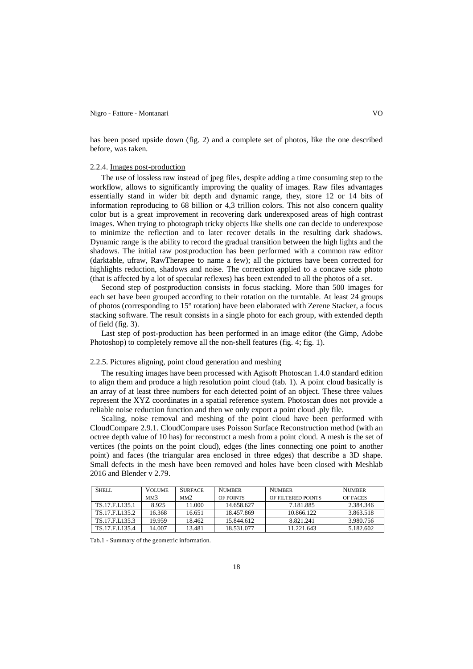#### Nigro - Fattore - Montanari VO

has been posed upside down (fig. 2) and a complete set of photos, like the one described before, was taken.

#### 2.2.4. Images post-production

The use of lossless raw instead of jpeg files, despite adding a time consuming step to the workflow, allows to significantly improving the quality of images. Raw files advantages essentially stand in wider bit depth and dynamic range, they, store 12 or 14 bits of information reproducing to 68 billion or 4,3 trillion colors. This not also concern quality color but is a great improvement in recovering dark underexposed areas of high contrast images. When trying to photograph tricky objects like shells one can decide to underexpose to minimize the reflection and to later recover details in the resulting dark shadows. Dynamic range is the ability to record the gradual transition between the high lights and the shadows. The initial raw postproduction has been performed with a common raw editor (darktable, ufraw, RawTherapee to name a few); all the pictures have been corrected for highlights reduction, shadows and noise. The correction applied to a concave side photo (that is affected by a lot of specular reflexes) has been extended to all the photos of a set.

Second step of postproduction consists in focus stacking. More than 500 images for each set have been grouped according to their rotation on the turntable. At least 24 groups of photos (corresponding to 15° rotation) have been elaborated with Zerene Stacker, a focus stacking software. The result consists in a single photo for each group, with extended depth of field (fig. 3).

Last step of post-production has been performed in an image editor (the Gimp, Adobe Photoshop) to completely remove all the non-shell features (fig. 4; fig. 1).

## 2.2.5. Pictures aligning, point cloud generation and meshing

The resulting images have been processed with Agisoft Photoscan 1.4.0 standard edition to align them and produce a high resolution point cloud (tab. 1). A point cloud basically is an array of at least three numbers for each detected point of an object. These three values represent the XYZ coordinates in a spatial reference system. Photoscan does not provide a reliable noise reduction function and then we only export a point cloud .ply file.

Scaling, noise removal and meshing of the point cloud have been performed with CloudCompare 2.9.1. CloudCompare uses Poisson Surface Reconstruction method (with an octree depth value of 10 has) for reconstruct a mesh from a point cloud. A mesh is the set of vertices (the points on the point cloud), edges (the lines connecting one point to another point) and faces (the triangular area enclosed in three edges) that describe a 3D shape. Small defects in the mesh have been removed and holes have been closed with Meshlab 2016 and Blender v 2.79.

| SHELL           | <b>VOLUME</b>   | <b>SURFACE</b> | <b>NUMBER</b> | <b>NUMBER</b>      | <b>NUMBER</b>   |
|-----------------|-----------------|----------------|---------------|--------------------|-----------------|
|                 | MM <sub>3</sub> | MM2            | OF POINTS     | OF FILTERED POINTS | <b>OF FACES</b> |
| TS.17 F.L.135.1 | 8.925           | 11.000         | 14.658.627    | 7.181.885          | 2.384.346       |
| TS.17.F.L135.2  | 16.368          | 16.651         | 18.457.869    | 10.866.122         | 3.863.518       |
| TS.17 F.L.135.3 | 19.959          | 18.462         | 15.844.612    | 8.821.241          | 3.980.756       |
| TS.17.F.L135.4  | 14.007          | 13.481         | 18.531.077    | 11.221.643         | 5.182.602       |

Tab.1 - Summary of the geometric information.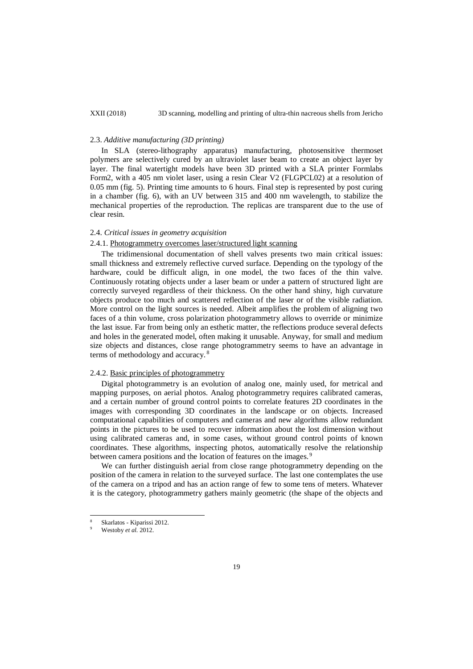### 2.3. *Additive manufacturing (3D printing)*

In SLA (stereo-lithography apparatus) manufacturing, photosensitive thermoset polymers are selectively cured by an ultraviolet laser beam to create an object layer by layer. The final watertight models have been 3D printed with a SLA printer Formlabs Form2, with a 405 nm violet laser, using a resin Clear V2 (FLGPCL02) at a resolution of 0.05 mm (fig. 5). Printing time amounts to 6 hours. Final step is represented by post curing in a chamber (fig. 6), with an UV between 315 and 400 nm wavelength, to stabilize the mechanical properties of the reproduction. The replicas are transparent due to the use of clear resin.

## 2.4. *Critical issues in geometry acquisition*

## 2.4.1. Photogrammetry overcomes laser/structured light scanning

The tridimensional documentation of shell valves presents two main critical issues: small thickness and extremely reflective curved surface. Depending on the typology of the hardware, could be difficult align, in one model, the two faces of the thin valve. Continuously rotating objects under a laser beam or under a pattern of structured light are correctly surveyed regardless of their thickness. On the other hand shiny, high curvature objects produce too much and scattered reflection of the laser or of the visible radiation. More control on the light sources is needed. Albeit amplifies the problem of aligning two faces of a thin volume, cross polarization photogrammetry allows to override or minimize the last issue. Far from being only an esthetic matter, the reflections produce several defects and holes in the generated model, often making it unusable. Anyway, for small and medium size objects and distances, close range photogrammetry seems to have an advantage in terms of methodology and accuracy. <sup>8</sup>

## 2.4.2. Basic principles of photogrammetry

Digital photogrammetry is an evolution of analog one, mainly used, for metrical and mapping purposes, on aerial photos. Analog photogrammetry requires calibrated cameras, and a certain number of ground control points to correlate features 2D coordinates in the images with corresponding 3D coordinates in the landscape or on objects. Increased computational capabilities of computers and cameras and new algorithms allow redundant points in the pictures to be used to recover information about the lost dimension without using calibrated cameras and, in some cases, without ground control points of known coordinates. These algorithms, inspecting photos, automatically resolve the relationship between camera positions and the location of features on the images. <sup>9</sup>

We can further distinguish aerial from close range photogrammetry depending on the position of the camera in relation to the surveyed surface. The last one contemplates the use of the camera on a tripod and has an action range of few to some tens of meters. Whatever it is the category, photogrammetry gathers mainly geometric (the shape of the objects and

 $\overline{a}$ 

<sup>8</sup> Skarlatos - Kiparissi 2012.

Westoby et al. 2012.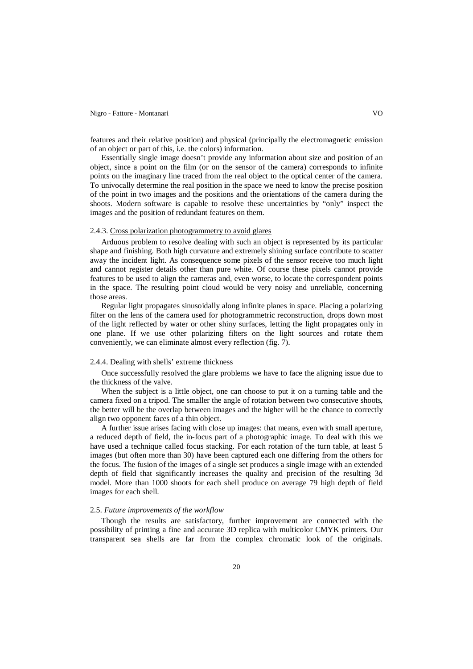#### Nigro - Fattore - Montanari VO

features and their relative position) and physical (principally the electromagnetic emission of an object or part of this, i.e. the colors) information.

Essentially single image doesn't provide any information about size and position of an object, since a point on the film (or on the sensor of the camera) corresponds to infinite points on the imaginary line traced from the real object to the optical center of the camera. To univocally determine the real position in the space we need to know the precise position of the point in two images and the positions and the orientations of the camera during the shoots. Modern software is capable to resolve these uncertainties by "only" inspect the images and the position of redundant features on them.

#### 2.4.3. Cross polarization photogrammetry to avoid glares

Arduous problem to resolve dealing with such an object is represented by its particular shape and finishing. Both high curvature and extremely shining surface contribute to scatter away the incident light. As consequence some pixels of the sensor receive too much light and cannot register details other than pure white. Of course these pixels cannot provide features to be used to align the cameras and, even worse, to locate the correspondent points in the space. The resulting point cloud would be very noisy and unreliable, concerning those areas.

Regular light propagates sinusoidally along infinite planes in space. Placing a polarizing filter on the lens of the camera used for photogrammetric reconstruction, drops down most of the light reflected by water or other shiny surfaces, letting the light propagates only in one plane. If we use other polarizing filters on the light sources and rotate them conveniently, we can eliminate almost every reflection (fig. 7).

## 2.4.4. Dealing with shells' extreme thickness

Once successfully resolved the glare problems we have to face the aligning issue due to the thickness of the valve.

When the subject is a little object, one can choose to put it on a turning table and the camera fixed on a tripod. The smaller the angle of rotation between two consecutive shoots, the better will be the overlap between images and the higher will be the chance to correctly align two opponent faces of a thin object.

A further issue arises facing with close up images: that means, even with small aperture, a reduced depth of field, the in-focus part of a photographic image. To deal with this we have used a technique called focus stacking. For each rotation of the turn table, at least 5 images (but often more than 30) have been captured each one differing from the others for the focus. The fusion of the images of a single set produces a single image with an extended depth of field that significantly increases the quality and precision of the resulting 3d model. More than 1000 shoots for each shell produce on average 79 high depth of field images for each shell.

#### 2.5. *Future improvements of the workflow*

Though the results are satisfactory, further improvement are connected with the possibility of printing a fine and accurate 3D replica with multicolor CMYK printers. Our transparent sea shells are far from the complex chromatic look of the originals.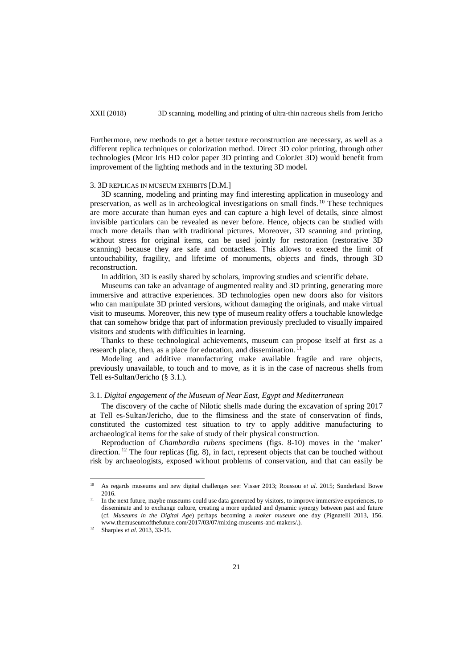Furthermore, new methods to get a better texture reconstruction are necessary, as well as a different replica techniques or colorization method. Direct 3D color printing, through other technologies (Mcor Iris HD color paper 3D printing and ColorJet 3D) would benefit from improvement of the lighting methods and in the texturing 3D model.

#### 3. 3D REPLICAS IN MUSEUM EXHIBITS [D.M.]

3D scanning, modeling and printing may find interesting application in museology and preservation, as well as in archeological investigations on small finds. <sup>10</sup> These techniques are more accurate than human eyes and can capture a high level of details, since almost invisible particulars can be revealed as never before. Hence, objects can be studied with much more details than with traditional pictures. Moreover, 3D scanning and printing, without stress for original items, can be used jointly for restoration (restorative 3D scanning) because they are safe and contactless. This allows to exceed the limit of untouchability, fragility, and lifetime of monuments, objects and finds, through 3D reconstruction.

In addition, 3D is easily shared by scholars, improving studies and scientific debate.

Museums can take an advantage of augmented reality and 3D printing, generating more immersive and attractive experiences. 3D technologies open new doors also for visitors who can manipulate 3D printed versions, without damaging the originals, and make virtual visit to museums. Moreover, this new type of museum reality offers a touchable knowledge that can somehow bridge that part of information previously precluded to visually impaired visitors and students with difficulties in learning.

Thanks to these technological achievements, museum can propose itself at first as a research place, then, as a place for education, and dissemination.<sup>11</sup>

Modeling and additive manufacturing make available fragile and rare objects, previously unavailable, to touch and to move, as it is in the case of nacreous shells from Tell es-Sultan/Jericho (§ 3.1.).

## 3.1. *Digital engagement of the Museum of Near East, Egypt and Mediterranean*

The discovery of the cache of Nilotic shells made during the excavation of spring 2017 at Tell es-Sultan/Jericho, due to the flimsiness and the state of conservation of finds, constituted the customized test situation to try to apply additive manufacturing to archaeological items for the sake of study of their physical construction.

Reproduction of *Chambardia rubens* specimens (figs. 8-10) moves in the 'maker' direction. <sup>12</sup> The four replicas (fig. 8), in fact, represent objects that can be touched without risk by archaeologists, exposed without problems of conservation, and that can easily be

<sup>10</sup> As regards museums and new digital challenges see: Visser 2013; [Roussou](https://www.museumsandtheweb.com/member/mroussou/) *et al*. 2015; Sunderland Bowe 2016.  $10$ 

<sup>&</sup>lt;sup>11</sup> In the next future, maybe museums could use data generated by visitors, to improve immersive experiences, to disseminate and to exchange culture, creating a more updated and dynamic synergy between past and future (cf. *Museums in the Digital Age*) perhaps becoming a *maker museum* one day (Pignatelli 2013, 156. www.themuseumofthefuture.com/2017/03/07/mixing-museums-and-makers/.).

<sup>12</sup> Sharples *et al*. 2013, 33-35.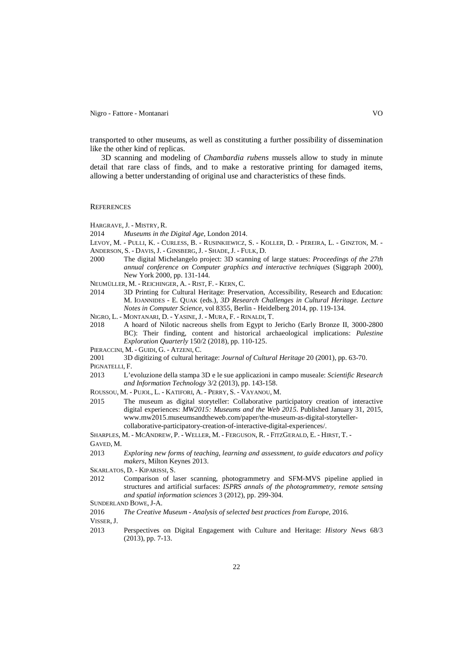Nigro - Fattore - Montanari VO

transported to other museums, as well as constituting a further possibility of dissemination like the other kind of replicas.

3D scanning and modeling of *Chambardia rubens* mussels allow to study in minute detail that rare class of finds, and to make a restorative printing for damaged items, allowing a better understanding of original use and characteristics of these finds.

## **REFERENCES**

HARGRAVE,J. - MISTRY, R.

- 2014 *Museums in the Digital Age*, London 2014.
- LEVOY, M. PULLI, K. CURLESS, B. RUSINKIEWICZ, S. KOLLER, D. PEREIRA, L. GINZTON, M. ANDERSON, S. - DAVIS, J. - GINSBERG, J. - SHADE, J. - FULK, D.
- 2000 The digital Michelangelo project: 3D scanning of large statues: *Proceedings of the 27th annual conference on Computer graphics and interactive techniques* (Siggraph 2000), New York 2000, pp. 131-144.
- NEUMÜLLER, M. REICHINGER, A. RIST, F. KERN, C.
- 2014 3D Printing for Cultural Heritage: Preservation, Accessibility, Research and Education: M. IOANNIDES - E. QUAK (eds.), *3D Research Challenges in Cultural Heritage. Lecture Notes in Computer Science*, vol 8355, Berlin - Heidelberg 2014, pp. 119-134.
- NIGRO, L. MONTANARI, D. YASINE,J. MURA, F. RINALDI, T.
- 2018 A hoard of Nilotic nacreous shells from Egypt to Jericho (Early Bronze II, 3000-2800 BC): Their finding, content and historical archaeological implications: *Palestine Exploration Quarterly* 150/2 (2018), pp. 110-125.
- PIERACCINI, M. GUIDI, G. ATZENI, C.
- 2001 3D digitizing of cultural heritage: *Journal of Cultural Heritage* 20 (2001), pp. 63-70.
- PIGNATELLI, F.
- 2013 L'evoluzione della stampa 3D e le sue applicazioni in campo museale: *Scientific Research and Information Technology* 3/2 (2013), pp. 143-158.
- [ROUSSOU,](https://www.museumsandtheweb.com/member/mroussou/) M. [PUJOL,](https://www.museumsandtheweb.com/member/laiapujoltost/) L. [KATIFORI,](https://www.museumsandtheweb.com/member/vivi.katifori/) A. [PERRY,](https://www.museumsandtheweb.com/member/sara.perry/) S. [VAYANOU,](https://www.museumsandtheweb.com/member/vayanou/) M.
- 2015 The museum as digital storyteller: Collaborative participatory creation of interactive digital experiences: *MW2015: Museums and the Web 2015*. Published January 31, 2015, www.mw2015.museumsandtheweb.com/paper/the-museum-as-digital-storytellercollaborative-participatory-creation-of-interactive-digital-experiences/.
- SHARPLES, M. MCANDREW, P. WELLER, M. FERGUSON, R. FITZGERALD, E. HIRST, T. -

GAVED, M.

- 2013 *Exploring new forms of teaching, learning and assessment, to guide educators and policy makers*, Milton Keynes 2013.
- SKARLATOS, D. KIPARISSI, S.
- 2012 Comparison of laser scanning, photogrammetry and SFM-MVS pipeline applied in structures and artificial surfaces: *ISPRS annals of the photogrammetry, remote sensing and spatial information sciences* 3 (2012), pp. 299-304.

- 2016 *The Creative Museum - Analysis of selected best practices from Europe*, 2016.
- VISSER,J.
- 2013 Perspectives on Digital Engagement with Culture and Heritage: *History News* 68/3 (2013), pp. 7-13.

SUNDERLAND BOWE, J-A.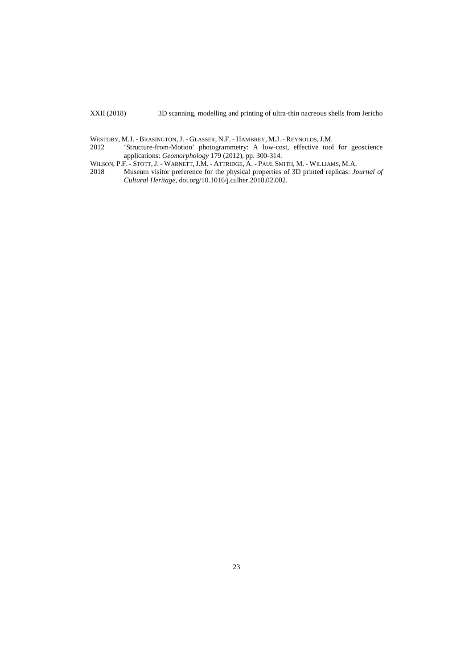WESTOBY, M.J. - BRASINGTON, J. - GLASSER, N.F. - HAMBREY, M.J. - REYNOLDS, J.M.<br>2012 **Structure-from-Motion**' photogrammetry: A low-cost, effective tool 'Structure-from-Motion' photogrammetry: A low-cost, effective tool for geoscience applications: *Geomorphology* 179 (2012), pp. 300-314.

WILSON, P.F. - STOTT, J. - WARNETT, J.M. - ATTRIDGE, A. - PAUL SMITH, M. - WILLIAMS, M.A. 2018 Museum visitor preference for the physical properties of 3D printed replicas: *Jo* 

2018 Museum visitor preference for the physical properties of 3D printed replicas: *Journal of Cultural Heritage*, [doi.org/10.1016/j.culher.2018.02.002.](https://doi.org/10.1016/j.culher.2018.02.002)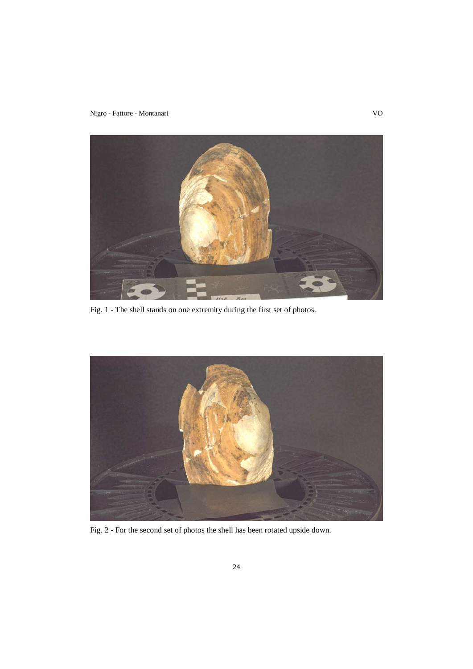Nigro - Fattore - Montanari VO



Fig. 1 - The shell stands on one extremity during the first set of photos.



Fig. 2 - For the second set of photos the shell has been rotated upside down.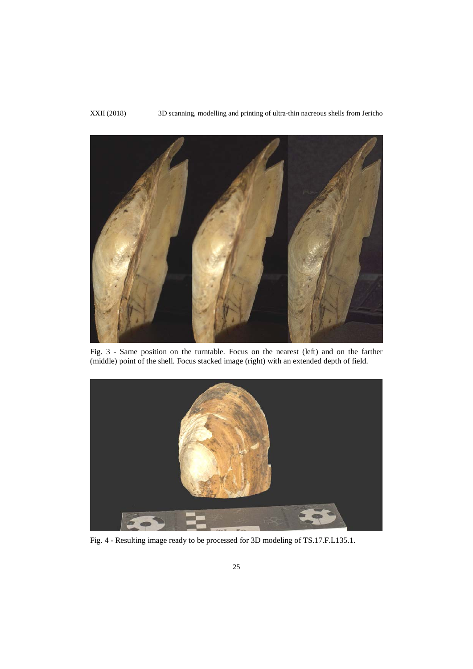

Fig. 3 - Same position on the turntable. Focus on the nearest (left) and on the farther (middle) point of the shell. Focus stacked image (right) with an extended depth of field.



Fig. 4 - Resulting image ready to be processed for 3D modeling of TS.17.F.L135.1.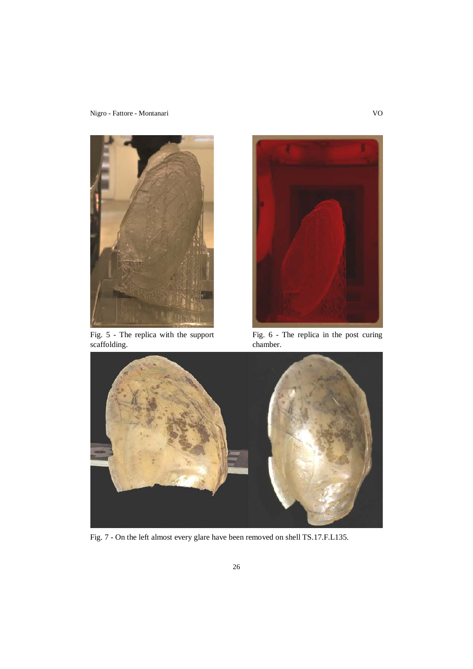Nigro - Fattore - Montanari VO



Fig. 5 - The replica with the support scaffolding.



Fig. 6 - The replica in the post curing chamber.



Fig. 7 - On the left almost every glare have been removed on shell TS.17.F.L135.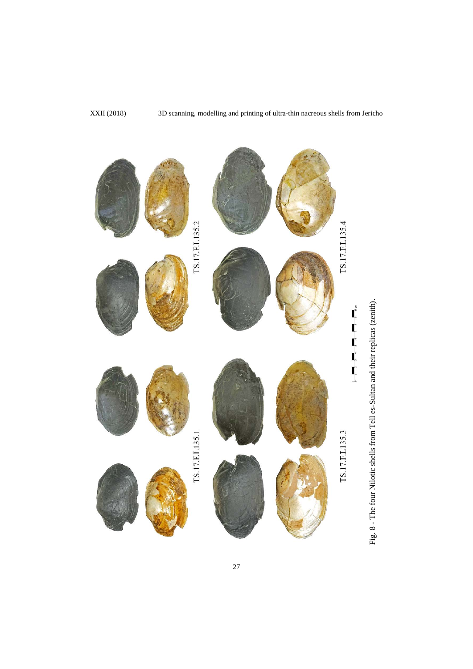

Fig. 8 - The four Nilotic shells from Tell es-Sultan and their replicas (zenith). Fig. 8 - The four Nilotic shells from Tell es-Sultan and their replicas (zenith).